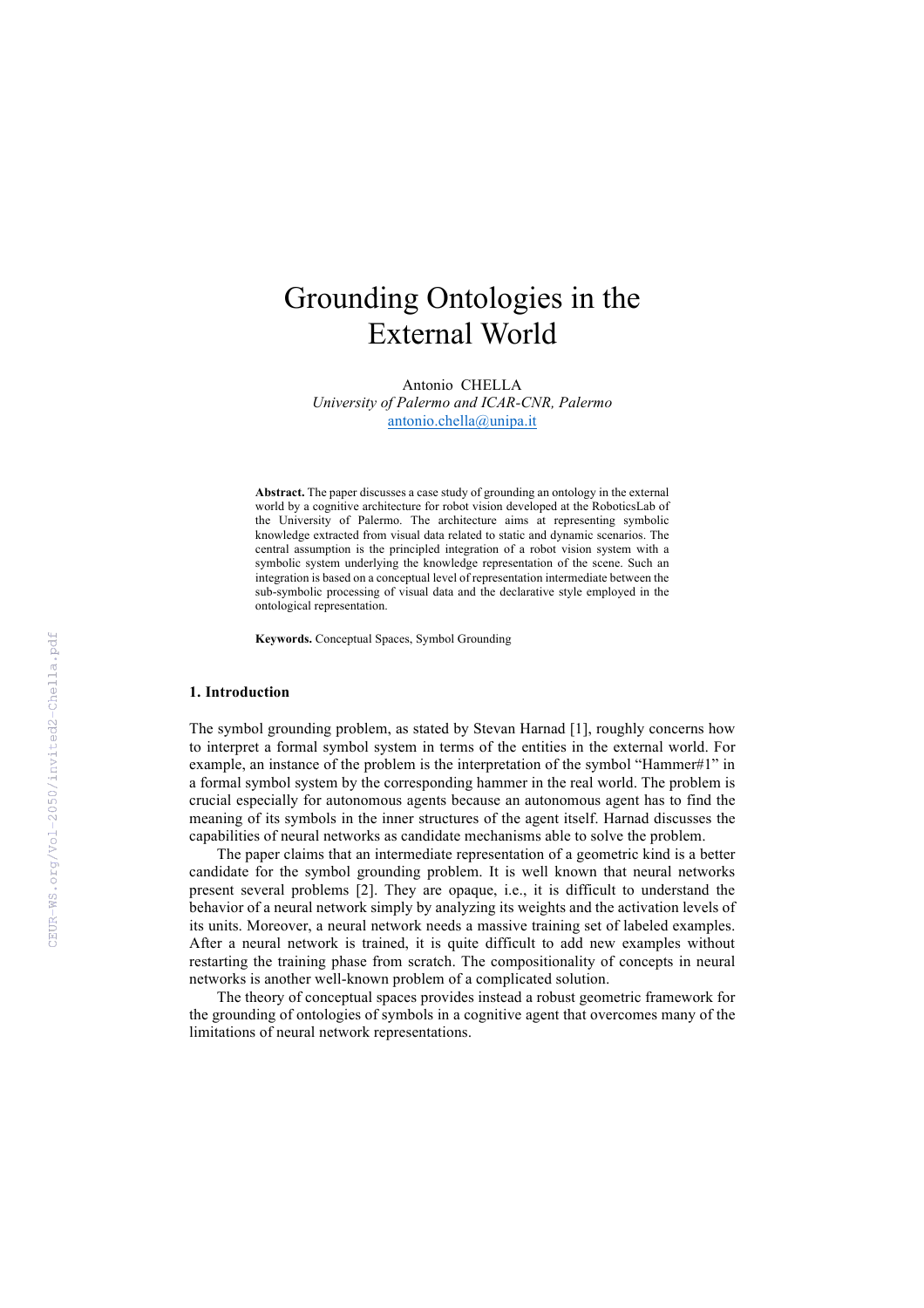# Grounding Ontologies in the External World

Antonio CHELLA *University of Palermo and ICAR-CNR, Palermo* antonio.chella@unipa.it

**Abstract.** The paper discusses a case study of grounding an ontology in the external world by a cognitive architecture for robot vision developed at the RoboticsLab of the University of Palermo. The architecture aims at representing symbolic knowledge extracted from visual data related to static and dynamic scenarios. The central assumption is the principled integration of a robot vision system with a symbolic system underlying the knowledge representation of the scene. Such an integration is based on a conceptual level of representation intermediate between the sub-symbolic processing of visual data and the declarative style employed in the ontological representation.

**Keywords.** Conceptual Spaces, Symbol Grounding

## **1. Introduction**

The symbol grounding problem, as stated by Stevan Harnad [1], roughly concerns how to interpret a formal symbol system in terms of the entities in the external world. For example, an instance of the problem is the interpretation of the symbol "Hammer#1" in a formal symbol system by the corresponding hammer in the real world. The problem is crucial especially for autonomous agents because an autonomous agent has to find the meaning of its symbols in the inner structures of the agent itself. Harnad discusses the capabilities of neural networks as candidate mechanisms able to solve the problem.

The paper claims that an intermediate representation of a geometric kind is a better candidate for the symbol grounding problem. It is well known that neural networks present several problems [2]. They are opaque, i.e., it is difficult to understand the behavior of a neural network simply by analyzing its weights and the activation levels of its units. Moreover, a neural network needs a massive training set of labeled examples. After a neural network is trained, it is quite difficult to add new examples without restarting the training phase from scratch. The compositionality of concepts in neural networks is another well-known problem of a complicated solution.

The theory of conceptual spaces provides instead a robust geometric framework for the grounding of ontologies of symbols in a cognitive agent that overcomes many of the limitations of neural network representations.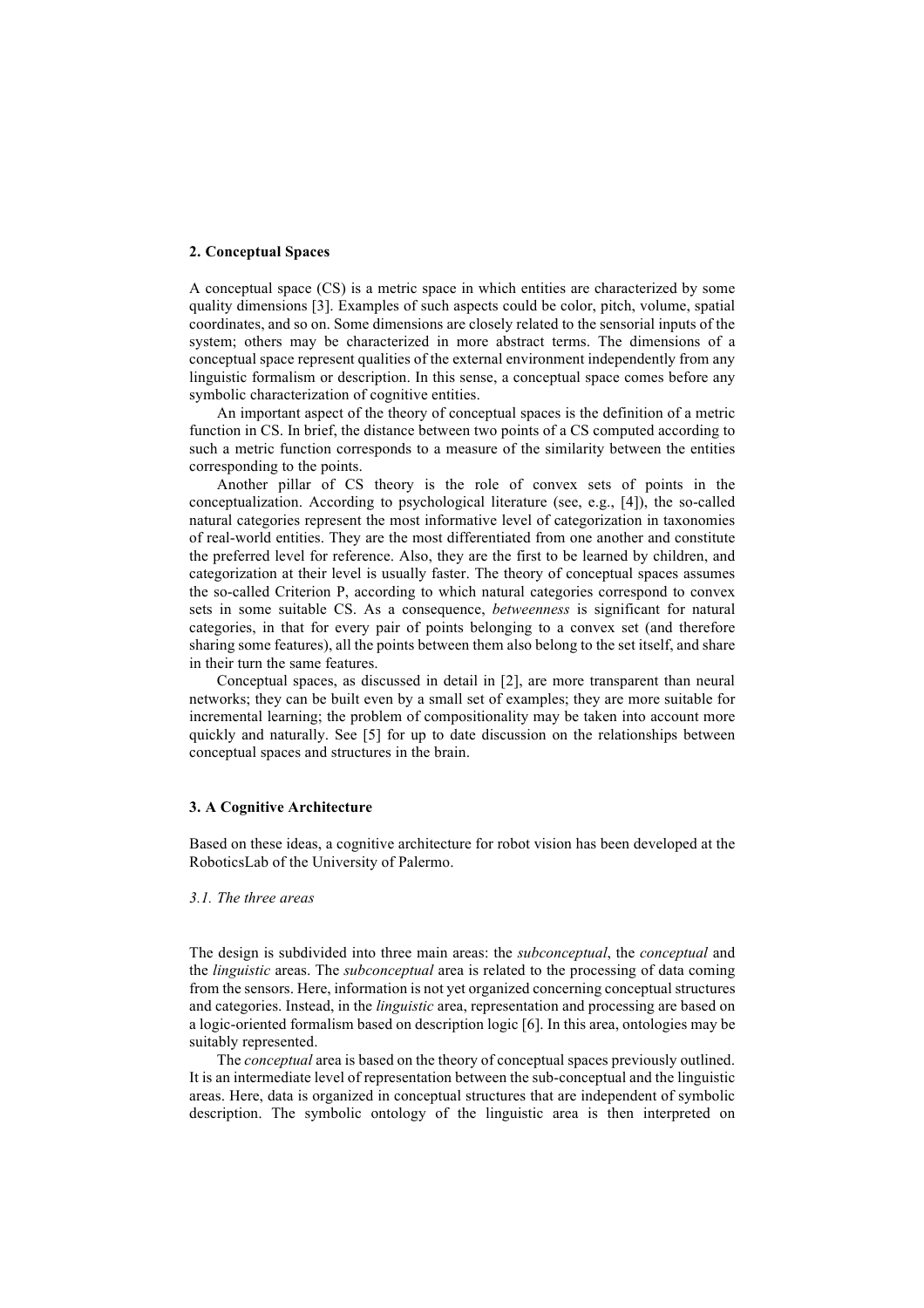## **2. Conceptual Spaces**

A conceptual space (CS) is a metric space in which entities are characterized by some quality dimensions [3]. Examples of such aspects could be color, pitch, volume, spatial coordinates, and so on. Some dimensions are closely related to the sensorial inputs of the system; others may be characterized in more abstract terms. The dimensions of a conceptual space represent qualities of the external environment independently from any linguistic formalism or description. In this sense, a conceptual space comes before any symbolic characterization of cognitive entities.

An important aspect of the theory of conceptual spaces is the definition of a metric function in CS. In brief, the distance between two points of a CS computed according to such a metric function corresponds to a measure of the similarity between the entities corresponding to the points.

Another pillar of CS theory is the role of convex sets of points in the conceptualization. According to psychological literature (see, e.g., [4]), the so-called natural categories represent the most informative level of categorization in taxonomies of real-world entities. They are the most differentiated from one another and constitute the preferred level for reference. Also, they are the first to be learned by children, and categorization at their level is usually faster. The theory of conceptual spaces assumes the so-called Criterion P, according to which natural categories correspond to convex sets in some suitable CS. As a consequence, *betweenness* is significant for natural categories, in that for every pair of points belonging to a convex set (and therefore sharing some features), all the points between them also belong to the set itself, and share in their turn the same features.

Conceptual spaces, as discussed in detail in [2], are more transparent than neural networks; they can be built even by a small set of examples; they are more suitable for incremental learning; the problem of compositionality may be taken into account more quickly and naturally. See [5] for up to date discussion on the relationships between conceptual spaces and structures in the brain.

## **3. A Cognitive Architecture**

Based on these ideas, a cognitive architecture for robot vision has been developed at the RoboticsLab of the University of Palermo.

## *3.1. The three areas*

The design is subdivided into three main areas: the *subconceptual*, the *conceptual* and the *linguistic* areas. The *subconceptual* area is related to the processing of data coming from the sensors. Here, information is not yet organized concerning conceptual structures and categories. Instead, in the *linguistic* area, representation and processing are based on a logic-oriented formalism based on description logic [6]. In this area, ontologies may be suitably represented.

The *conceptual* area is based on the theory of conceptual spaces previously outlined. It is an intermediate level of representation between the sub-conceptual and the linguistic areas. Here, data is organized in conceptual structures that are independent of symbolic description. The symbolic ontology of the linguistic area is then interpreted on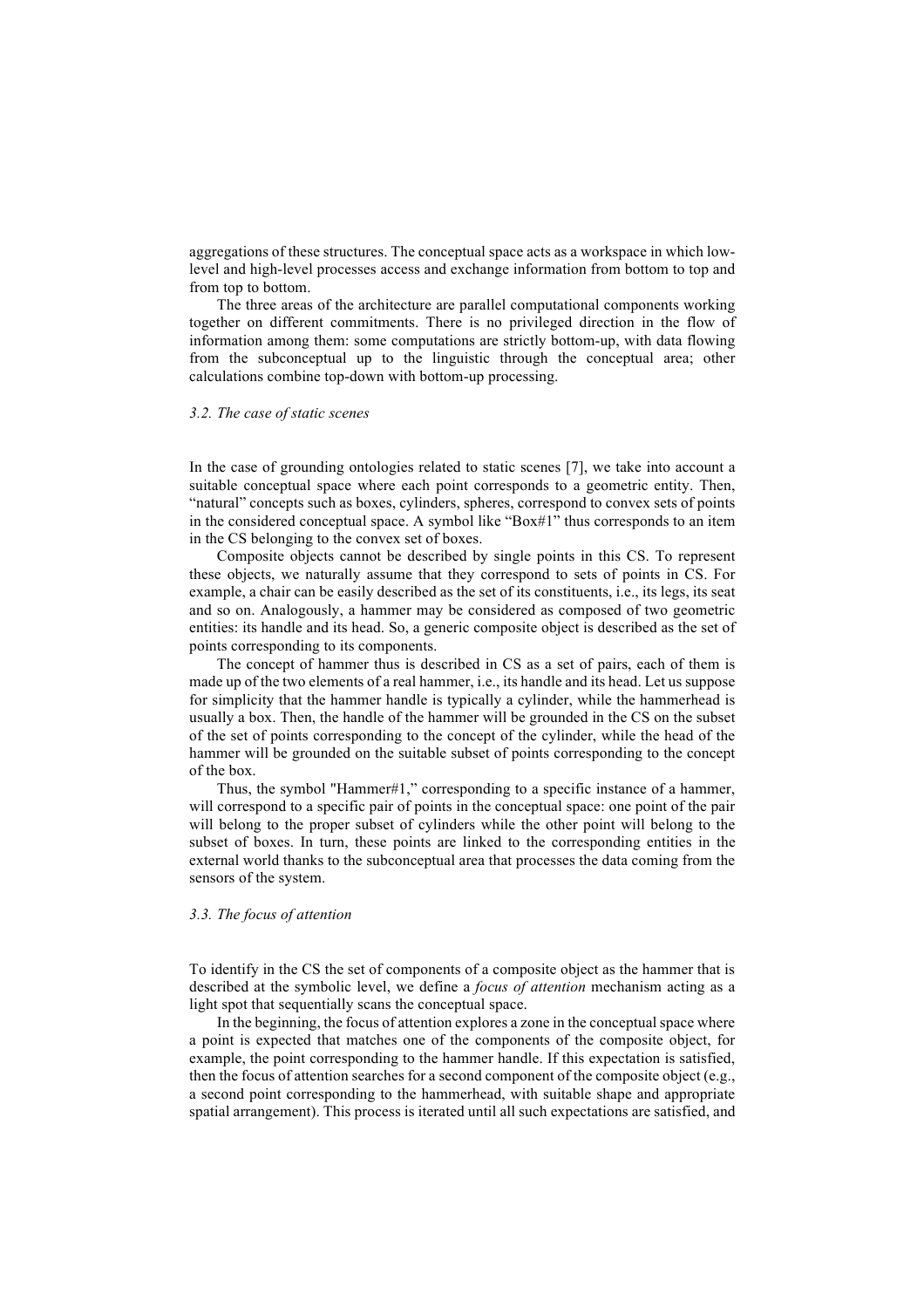aggregations of these structures. The conceptual space acts as a workspace in which lowlevel and high-level processes access and exchange information from bottom to top and from top to bottom.

The three areas of the architecture are parallel computational components working together on different commitments. There is no privileged direction in the flow of information among them: some computations are strictly bottom-up, with data flowing from the subconceptual up to the linguistic through the conceptual area; other calculations combine top-down with bottom-up processing.

#### *3.2. The case of static scenes*

In the case of grounding ontologies related to static scenes [7], we take into account a suitable conceptual space where each point corresponds to a geometric entity. Then, "natural" concepts such as boxes, cylinders, spheres, correspond to convex sets of points in the considered conceptual space. A symbol like "Box#1" thus corresponds to an item in the CS belonging to the convex set of boxes.

Composite objects cannot be described by single points in this CS. To represent these objects, we naturally assume that they correspond to sets of points in CS. For example, a chair can be easily described as the set of its constituents, i.e., its legs, its seat and so on. Analogously, a hammer may be considered as composed of two geometric entities: its handle and its head. So, a generic composite object is described as the set of points corresponding to its components.

The concept of hammer thus is described in CS as a set of pairs, each of them is made up of the two elements of a real hammer, i.e., its handle and its head. Let us suppose for simplicity that the hammer handle is typically a cylinder, while the hammerhead is usually a box. Then, the handle of the hammer will be grounded in the CS on the subset of the set of points corresponding to the concept of the cylinder, while the head of the hammer will be grounded on the suitable subset of points corresponding to the concept of the box.

Thus, the symbol "Hammer#1," corresponding to a specific instance of a hammer, will correspond to a specific pair of points in the conceptual space: one point of the pair will belong to the proper subset of cylinders while the other point will belong to the subset of boxes. In turn, these points are linked to the corresponding entities in the external world thanks to the subconceptual area that processes the data coming from the sensors of the system.

## *3.3. The focus of attention*

To identify in the CS the set of components of a composite object as the hammer that is described at the symbolic level, we define a *focus of attention* mechanism acting as a light spot that sequentially scans the conceptual space.

In the beginning, the focus of attention explores a zone in the conceptual space where a point is expected that matches one of the components of the composite object, for example, the point corresponding to the hammer handle. If this expectation is satisfied, then the focus of attention searches for a second component of the composite object (e.g., a second point corresponding to the hammerhead, with suitable shape and appropriate spatial arrangement). This process is iterated until all such expectations are satisfied, and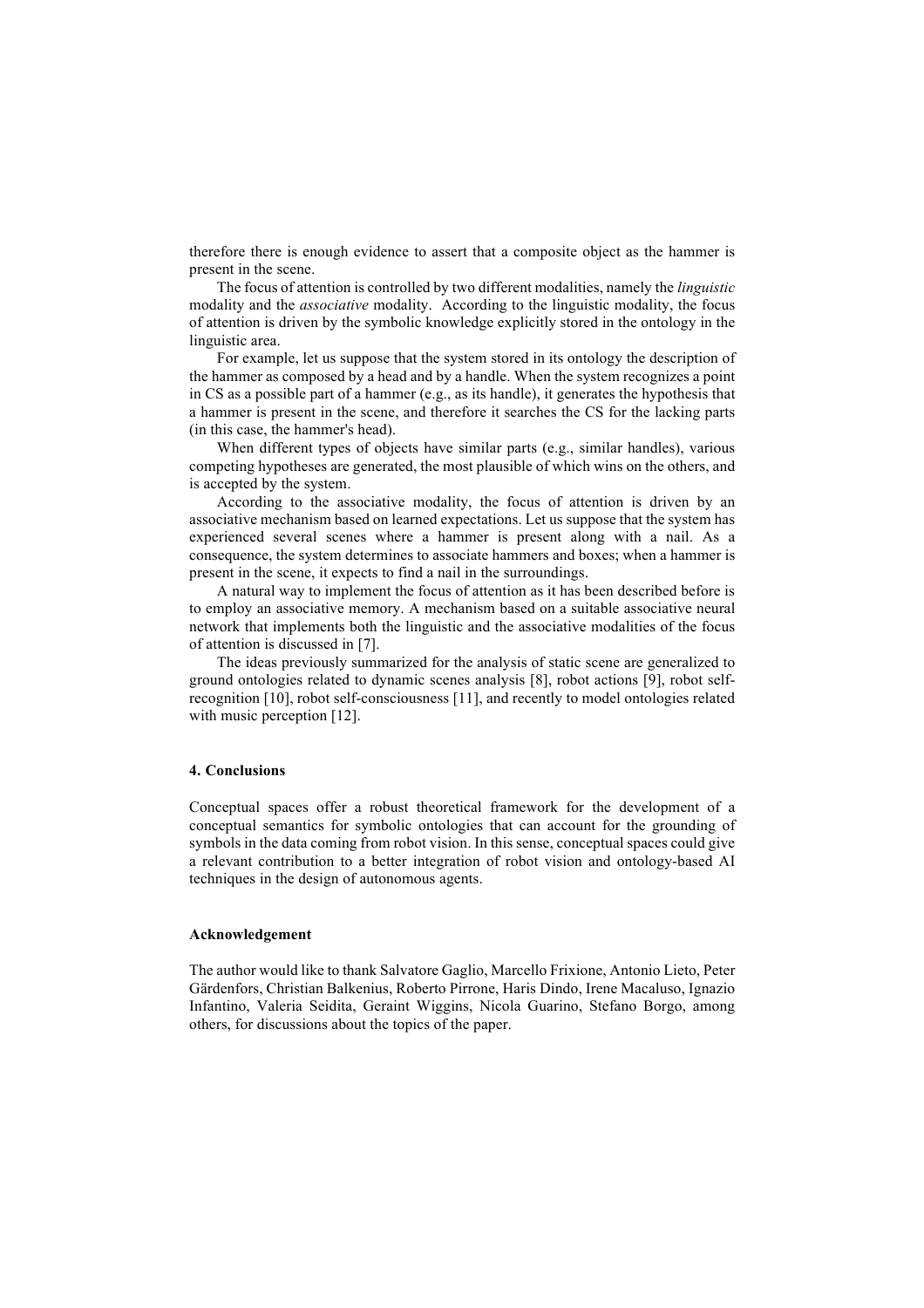therefore there is enough evidence to assert that a composite object as the hammer is present in the scene.

The focus of attention is controlled by two different modalities, namely the *linguistic* modality and the *associative* modality. According to the linguistic modality, the focus of attention is driven by the symbolic knowledge explicitly stored in the ontology in the linguistic area.

For example, let us suppose that the system stored in its ontology the description of the hammer as composed by a head and by a handle. When the system recognizes a point in CS as a possible part of a hammer (e.g., as its handle), it generates the hypothesis that a hammer is present in the scene, and therefore it searches the CS for the lacking parts (in this case, the hammer's head).

When different types of objects have similar parts (e.g., similar handles), various competing hypotheses are generated, the most plausible of which wins on the others, and is accepted by the system.

According to the associative modality, the focus of attention is driven by an associative mechanism based on learned expectations. Let us suppose that the system has experienced several scenes where a hammer is present along with a nail. As a consequence, the system determines to associate hammers and boxes; when a hammer is present in the scene, it expects to find a nail in the surroundings.

A natural way to implement the focus of attention as it has been described before is to employ an associative memory. A mechanism based on a suitable associative neural network that implements both the linguistic and the associative modalities of the focus of attention is discussed in [7].

The ideas previously summarized for the analysis of static scene are generalized to ground ontologies related to dynamic scenes analysis [8], robot actions [9], robot selfrecognition [10], robot self-consciousness [11], and recently to model ontologies related with music perception [12].

# **4. Conclusions**

Conceptual spaces offer a robust theoretical framework for the development of a conceptual semantics for symbolic ontologies that can account for the grounding of symbols in the data coming from robot vision. In this sense, conceptual spaces could give a relevant contribution to a better integration of robot vision and ontology-based AI techniques in the design of autonomous agents.

### **Acknowledgement**

The author would like to thank Salvatore Gaglio, Marcello Frixione, Antonio Lieto, Peter Gärdenfors, Christian Balkenius, Roberto Pirrone, Haris Dindo, Irene Macaluso, Ignazio Infantino, Valeria Seidita, Geraint Wiggins, Nicola Guarino, Stefano Borgo, among others, for discussions about the topics of the paper.